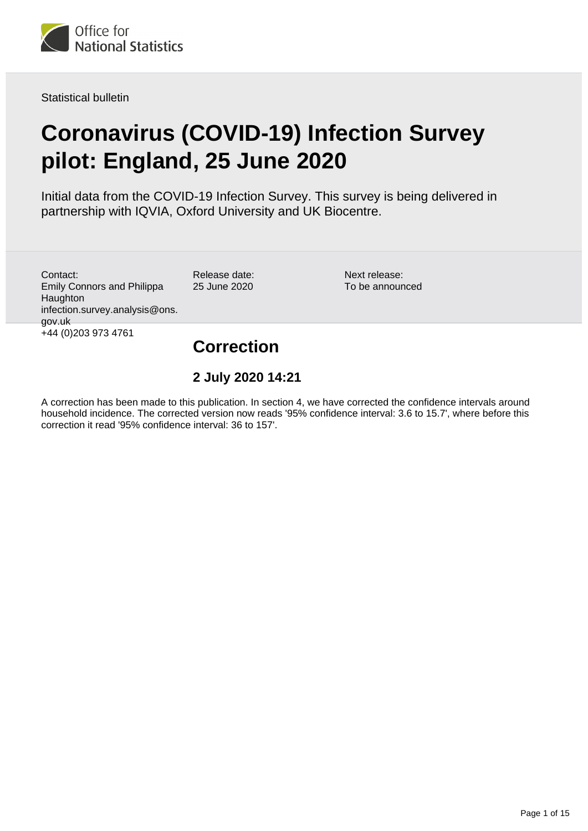<span id="page-0-0"></span>

Statistical bulletin

# **Coronavirus (COVID-19) Infection Survey pilot: England, 25 June 2020**

Initial data from the COVID-19 Infection Survey. This survey is being delivered in partnership with IQVIA, Oxford University and UK Biocentre.

Contact: Emily Connors and Philippa Haughton infection.survey.analysis@ons. gov.uk +44 (0)203 973 4761

Release date: 25 June 2020

Next release: To be announced

## **Correction**

### **2 July 2020 14:21**

A correction has been made to this publication. In section 4, we have corrected the confidence intervals around household incidence. The corrected version now reads '95% confidence interval: 3.6 to 15.7', where before this correction it read '95% confidence interval: 36 to 157'.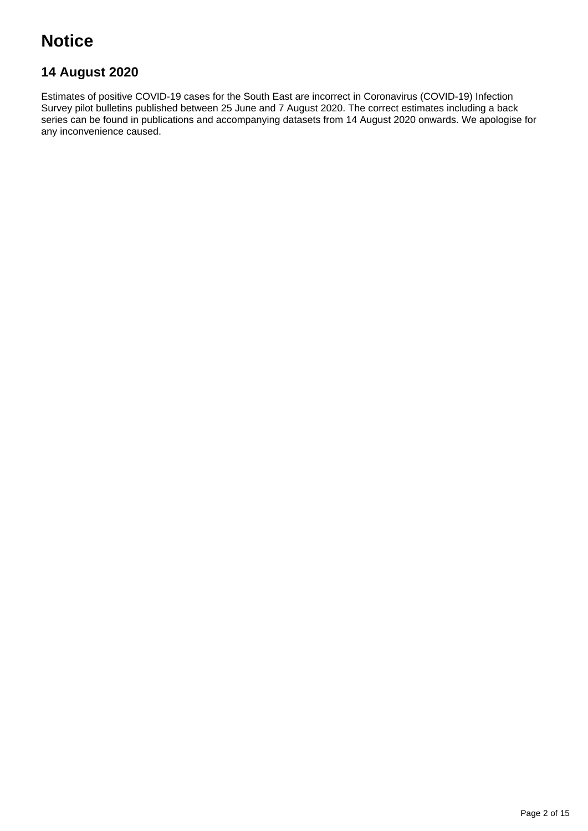## **Notice**

## **14 August 2020**

Estimates of positive COVID-19 cases for the South East are incorrect in Coronavirus (COVID-19) Infection Survey pilot bulletins published between 25 June and 7 August 2020. The correct estimates including a back series can be found in publications and accompanying datasets from 14 August 2020 onwards. We apologise for any inconvenience caused.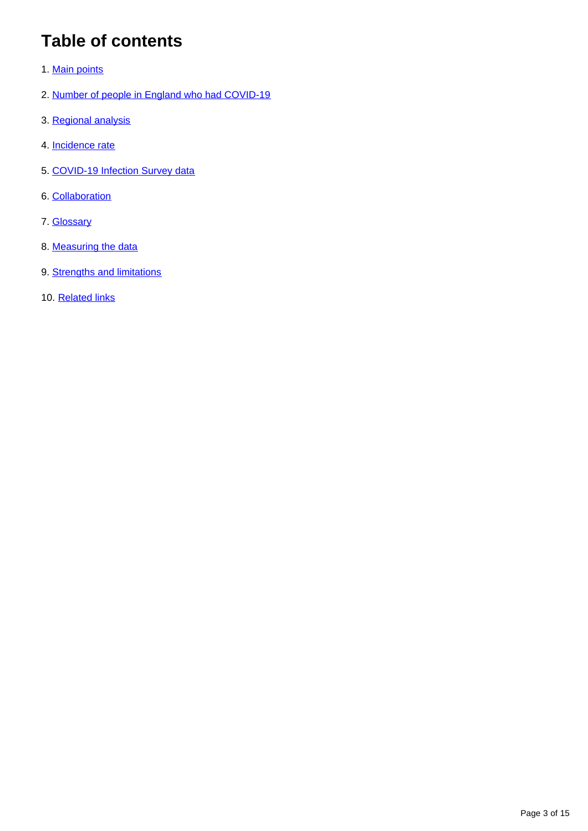## **Table of contents**

- 1. [Main points](#page-3-0)
- 2. [Number of people in England who had COVID-19](#page-3-1)
- 3. [Regional analysis](#page-5-0)
- 4. [Incidence rate](#page-7-0)
- 5. [COVID-19 Infection Survey data](#page-9-0)
- 6. [Collaboration](#page-9-1)
- 7. [Glossary](#page-9-2)
- 8. [Measuring the data](#page-10-0)
- 9. [Strengths and limitations](#page-13-0)
- 10. [Related links](#page-14-0)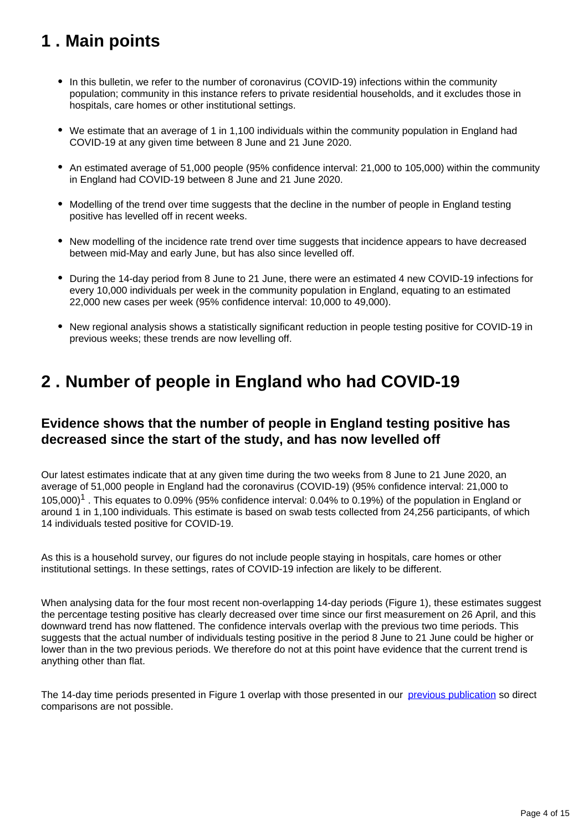## <span id="page-3-0"></span>**1 . Main points**

- In this bulletin, we refer to the number of coronavirus (COVID-19) infections within the community population; community in this instance refers to private residential households, and it excludes those in hospitals, care homes or other institutional settings.
- We estimate that an average of 1 in 1,100 individuals within the community population in England had COVID-19 at any given time between 8 June and 21 June 2020.
- An estimated average of 51,000 people (95% confidence interval: 21,000 to 105,000) within the community in England had COVID-19 between 8 June and 21 June 2020.
- Modelling of the trend over time suggests that the decline in the number of people in England testing positive has levelled off in recent weeks.
- New modelling of the incidence rate trend over time suggests that incidence appears to have decreased between mid-May and early June, but has also since levelled off.
- During the 14-day period from 8 June to 21 June, there were an estimated 4 new COVID-19 infections for every 10,000 individuals per week in the community population in England, equating to an estimated 22,000 new cases per week (95% confidence interval: 10,000 to 49,000).
- New regional analysis shows a statistically significant reduction in people testing positive for COVID-19 in previous weeks; these trends are now levelling off.

## <span id="page-3-1"></span>**2 . Number of people in England who had COVID-19**

### **Evidence shows that the number of people in England testing positive has decreased since the start of the study, and has now levelled off**

Our latest estimates indicate that at any given time during the two weeks from 8 June to 21 June 2020, an average of 51,000 people in England had the coronavirus (COVID-19) (95% confidence interval: 21,000 to 105,000)<sup>1</sup>. This equates to 0.09% (95% confidence interval: 0.04% to 0.19%) of the population in England or around 1 in 1,100 individuals. This estimate is based on swab tests collected from 24,256 participants, of which 14 individuals tested positive for COVID-19.

As this is a household survey, our figures do not include people staying in hospitals, care homes or other institutional settings. In these settings, rates of COVID-19 infection are likely to be different.

When analysing data for the four most recent non-overlapping 14-day periods (Figure 1), these estimates suggest the percentage testing positive has clearly decreased over time since our first measurement on 26 April, and this downward trend has now flattened. The confidence intervals overlap with the previous two time periods. This suggests that the actual number of individuals testing positive in the period 8 June to 21 June could be higher or lower than in the two previous periods. We therefore do not at this point have evidence that the current trend is anything other than flat.

The 14-day time periods presented in Figure 1 overlap with those presented in our [previous publication](https://www.ons.gov.uk/peoplepopulationandcommunity/healthandsocialcare/conditionsanddiseases/bulletins/coronaviruscovid19infectionsurveypilot/18june2020#measuring-the-data) so direct comparisons are not possible.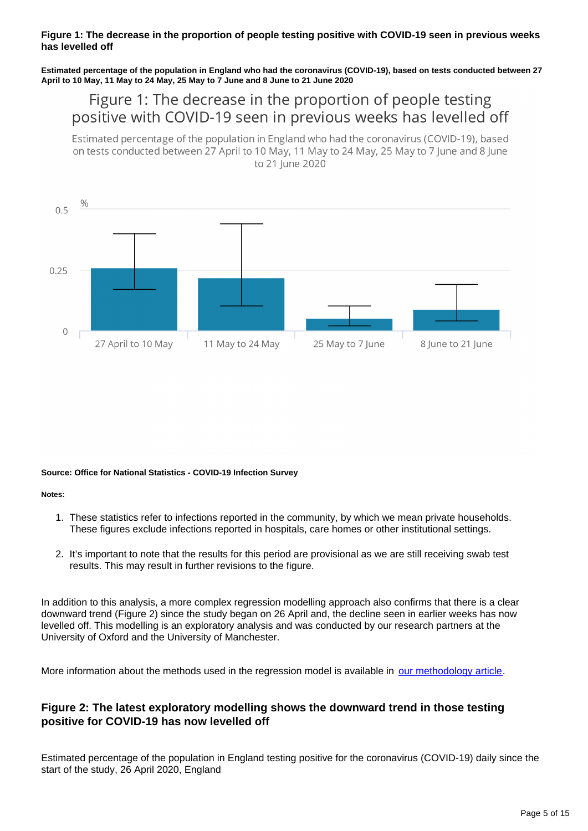### **Figure 1: The decrease in the proportion of people testing positive with COVID-19 seen in previous weeks has levelled off**

**Estimated percentage of the population in England who had the coronavirus (COVID-19), based on tests conducted between 27 April to 10 May, 11 May to 24 May, 25 May to 7 June and 8 June to 21 June 2020**

## Figure 1: The decrease in the proportion of people testing positive with COVID-19 seen in previous weeks has levelled off

Estimated percentage of the population in England who had the coronavirus (COVID-19), based on tests conducted between 27 April to 10 May, 11 May to 24 May, 25 May to 7 June and 8 June to 21 lune 2020



#### **Source: Office for National Statistics - COVID-19 Infection Survey**

**Notes:**

- 1. These statistics refer to infections reported in the community, by which we mean private households. These figures exclude infections reported in hospitals, care homes or other institutional settings.
- 2. It's important to note that the results for this period are provisional as we are still receiving swab test results. This may result in further revisions to the figure.

In addition to this analysis, a more complex regression modelling approach also confirms that there is a clear downward trend (Figure 2) since the study began on 26 April and, the decline seen in earlier weeks has now levelled off. This modelling is an exploratory analysis and was conducted by our research partners at the University of Oxford and the University of Manchester.

More information about the methods used in the regression model is available in [our methodology article](https://www.ons.gov.uk/peoplepopulationandcommunity/healthandsocialcare/conditionsanddiseases/methodologies/covid19infectionsurveypilotmethodsandfurtherinformation).

### **Figure 2: The latest exploratory modelling shows the downward trend in those testing positive for COVID-19 has now levelled off**

Estimated percentage of the population in England testing positive for the coronavirus (COVID-19) daily since the start of the study, 26 April 2020, England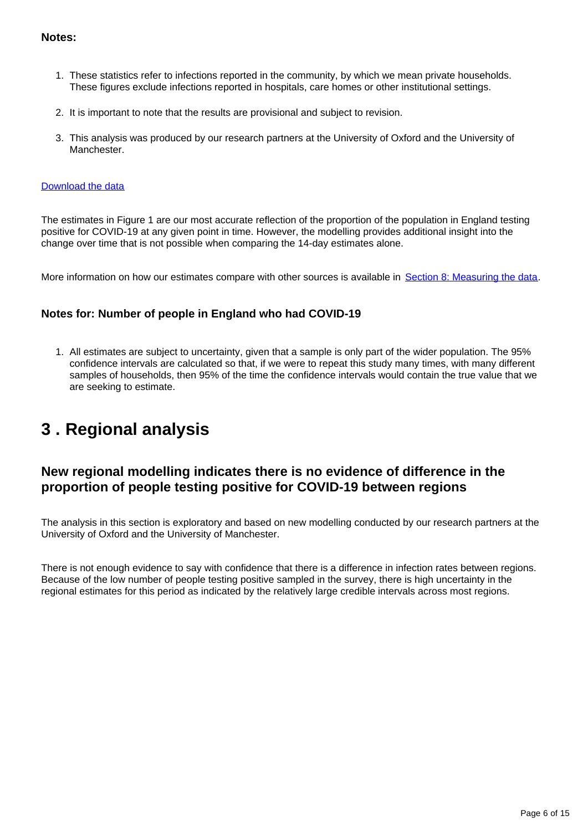### **Notes:**

- 1. These statistics refer to infections reported in the community, by which we mean private households. These figures exclude infections reported in hospitals, care homes or other institutional settings.
- 2. It is important to note that the results are provisional and subject to revision.
- 3. This analysis was produced by our research partners at the University of Oxford and the University of **Manchester**

#### [Download the data](https://www.ons.gov.uk/visualisations/dvc869/prevalence/datadownload.xls)

The estimates in Figure 1 are our most accurate reflection of the proportion of the population in England testing positive for COVID-19 at any given point in time. However, the modelling provides additional insight into the change over time that is not possible when comparing the 14-day estimates alone.

More information on how our estimates compare with other sources is available in [Section 8: Measuring the data.](https://www.ons.gov.uk/peoplepopulationandcommunity/healthandsocialcare/conditionsanddiseases/bulletins/coronaviruscovid19infectionsurveypilot/england25june2020#measuring-the-data)

### **Notes for: Number of people in England who had COVID-19**

1. All estimates are subject to uncertainty, given that a sample is only part of the wider population. The 95% confidence intervals are calculated so that, if we were to repeat this study many times, with many different samples of households, then 95% of the time the confidence intervals would contain the true value that we are seeking to estimate.

## <span id="page-5-0"></span>**3 . Regional analysis**

## **New regional modelling indicates there is no evidence of difference in the proportion of people testing positive for COVID-19 between regions**

The analysis in this section is exploratory and based on new modelling conducted by our research partners at the University of Oxford and the University of Manchester.

There is not enough evidence to say with confidence that there is a difference in infection rates between regions. Because of the low number of people testing positive sampled in the survey, there is high uncertainty in the regional estimates for this period as indicated by the relatively large credible intervals across most regions.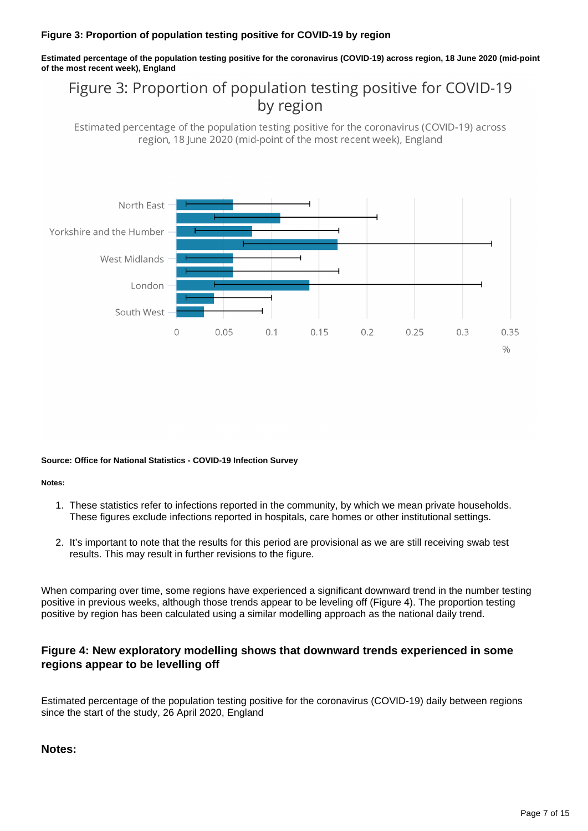### **Figure 3: Proportion of population testing positive for COVID-19 by region**

**Estimated percentage of the population testing positive for the coronavirus (COVID-19) across region, 18 June 2020 (mid-point of the most recent week), England**

## Figure 3: Proportion of population testing positive for COVID-19 by region

Estimated percentage of the population testing positive for the coronavirus (COVID-19) across region, 18 June 2020 (mid-point of the most recent week), England



#### **Source: Office for National Statistics - COVID-19 Infection Survey**

#### **Notes:**

- 1. These statistics refer to infections reported in the community, by which we mean private households. These figures exclude infections reported in hospitals, care homes or other institutional settings.
- 2. It's important to note that the results for this period are provisional as we are still receiving swab test results. This may result in further revisions to the figure.

When comparing over time, some regions have experienced a significant downward trend in the number testing positive in previous weeks, although those trends appear to be leveling off (Figure 4). The proportion testing positive by region has been calculated using a similar modelling approach as the national daily trend.

### **Figure 4: New exploratory modelling shows that downward trends experienced in some regions appear to be levelling off**

Estimated percentage of the population testing positive for the coronavirus (COVID-19) daily between regions since the start of the study, 26 April 2020, England

### **Notes:**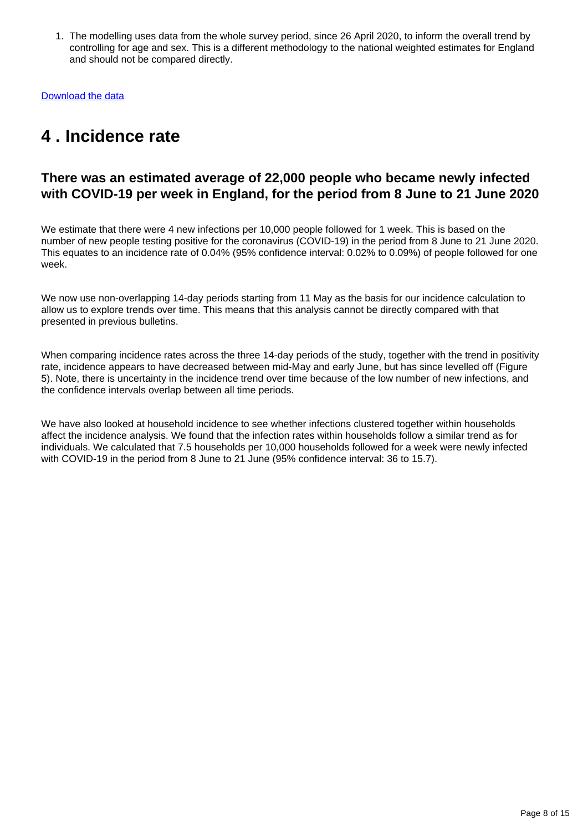1. The modelling uses data from the whole survey period, since 26 April 2020, to inform the overall trend by controlling for age and sex. This is a different methodology to the national weighted estimates for England and should not be compared directly.

[Download the data](https://www.ons.gov.uk/visualisations/dvc869/region/datadownload.xlsx)

## <span id="page-7-0"></span>**4 . Incidence rate**

### **There was an estimated average of 22,000 people who became newly infected with COVID-19 per week in England, for the period from 8 June to 21 June 2020**

We estimate that there were 4 new infections per 10,000 people followed for 1 week. This is based on the number of new people testing positive for the coronavirus (COVID-19) in the period from 8 June to 21 June 2020. This equates to an incidence rate of 0.04% (95% confidence interval: 0.02% to 0.09%) of people followed for one week.

We now use non-overlapping 14-day periods starting from 11 May as the basis for our incidence calculation to allow us to explore trends over time. This means that this analysis cannot be directly compared with that presented in previous bulletins.

When comparing incidence rates across the three 14-day periods of the study, together with the trend in positivity rate, incidence appears to have decreased between mid-May and early June, but has since levelled off (Figure 5). Note, there is uncertainty in the incidence trend over time because of the low number of new infections, and the confidence intervals overlap between all time periods.

We have also looked at household incidence to see whether infections clustered together within households affect the incidence analysis. We found that the infection rates within households follow a similar trend as for individuals. We calculated that 7.5 households per 10,000 households followed for a week were newly infected with COVID-19 in the period from 8 June to 21 June (95% confidence interval: 36 to 15.7).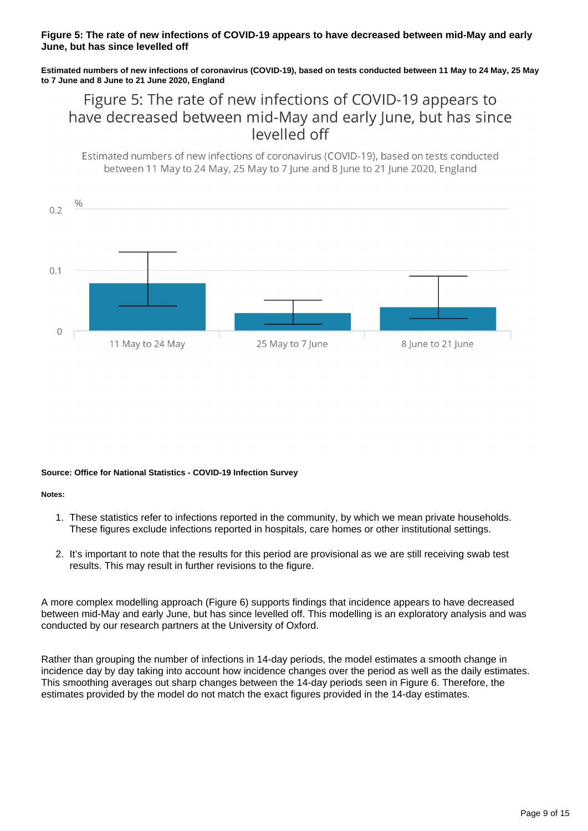### **Figure 5: The rate of new infections of COVID-19 appears to have decreased between mid-May and early June, but has since levelled off**

**Estimated numbers of new infections of coronavirus (COVID-19), based on tests conducted between 11 May to 24 May, 25 May to 7 June and 8 June to 21 June 2020, England**

Figure 5: The rate of new infections of COVID-19 appears to have decreased between mid-May and early June, but has since levelled off

Estimated numbers of new infections of coronavirus (COVID-19), based on tests conducted between 11 May to 24 May, 25 May to 7 June and 8 June to 21 June 2020, England



#### **Source: Office for National Statistics - COVID-19 Infection Survey**

**Notes:**

- 1. These statistics refer to infections reported in the community, by which we mean private households. These figures exclude infections reported in hospitals, care homes or other institutional settings.
- 2. It's important to note that the results for this period are provisional as we are still receiving swab test results. This may result in further revisions to the figure.

A more complex modelling approach (Figure 6) supports findings that incidence appears to have decreased between mid-May and early June, but has since levelled off. This modelling is an exploratory analysis and was conducted by our research partners at the University of Oxford.

Rather than grouping the number of infections in 14-day periods, the model estimates a smooth change in incidence day by day taking into account how incidence changes over the period as well as the daily estimates. This smoothing averages out sharp changes between the 14-day periods seen in Figure 6. Therefore, the estimates provided by the model do not match the exact figures provided in the 14-day estimates.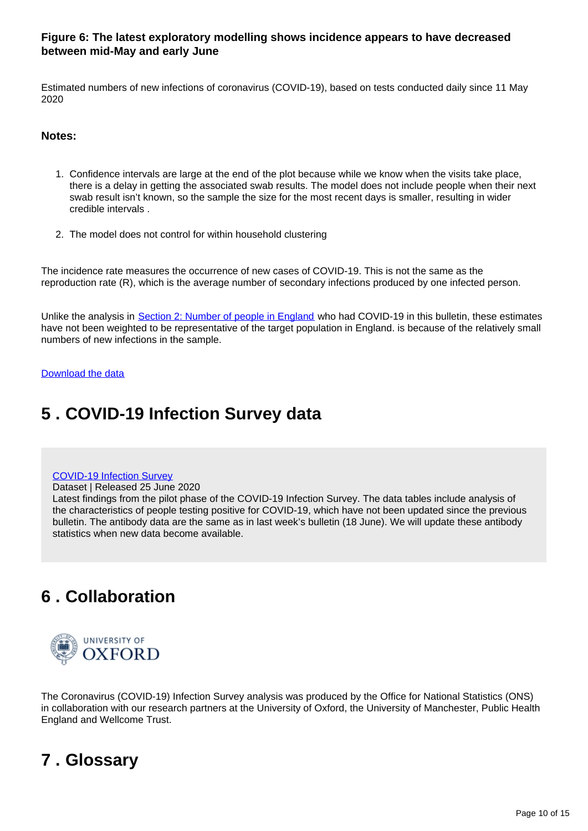### **Figure 6: The latest exploratory modelling shows incidence appears to have decreased between mid-May and early June**

Estimated numbers of new infections of coronavirus (COVID-19), based on tests conducted daily since 11 May 2020

### **Notes:**

- 1. Confidence intervals are large at the end of the plot because while we know when the visits take place, there is a delay in getting the associated swab results. The model does not include people when their next swab result isn't known, so the sample the size for the most recent days is smaller, resulting in wider credible intervals .
- 2. The model does not control for within household clustering

The incidence rate measures the occurrence of new cases of COVID-19. This is not the same as the reproduction rate (R), which is the average number of secondary infections produced by one infected person.

Unlike the analysis in [Section 2: Number of people in England](https://www.ons.gov.uk/peoplepopulationandcommunity/healthandsocialcare/conditionsanddiseases/bulletins/coronaviruscovid19infectionsurveypilot/england25june2020#number-of-people-in-england-who-had-covid-19) who had COVID-19 in this bulletin, these estimates have not been weighted to be representative of the target population in England. is because of the relatively small numbers of new infections in the sample.

#### [Download the data](https://www.ons.gov.uk/visualisations/dvc869/incidence/datadownload.xlsx)

## <span id="page-9-0"></span>**5 . COVID-19 Infection Survey data**

#### [COVID-19 Infection Survey](https://www.ons.gov.uk/peoplepopulationandcommunity/healthandsocialcare/conditionsanddiseases/datasets/coronaviruscovid19infectionsurveydata)

Dataset | Released 25 June 2020

Latest findings from the pilot phase of the COVID-19 Infection Survey. The data tables include analysis of the characteristics of people testing positive for COVID-19, which have not been updated since the previous bulletin. The antibody data are the same as in last week's bulletin (18 June). We will update these antibody statistics when new data become available.

## <span id="page-9-1"></span>**6 . Collaboration**



The Coronavirus (COVID-19) Infection Survey analysis was produced by the Office for National Statistics (ONS) in collaboration with our research partners at the University of Oxford, the University of Manchester, Public Health England and Wellcome Trust.

## <span id="page-9-2"></span>**7 . Glossary**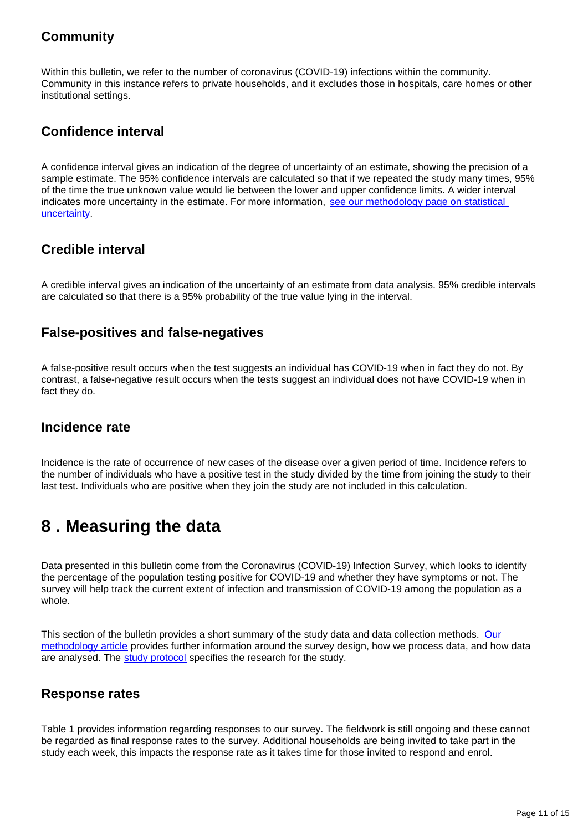## **Community**

Within this bulletin, we refer to the number of coronavirus (COVID-19) infections within the community. Community in this instance refers to private households, and it excludes those in hospitals, care homes or other institutional settings.

## **Confidence interval**

A confidence interval gives an indication of the degree of uncertainty of an estimate, showing the precision of a sample estimate. The 95% confidence intervals are calculated so that if we repeated the study many times, 95% of the time the true unknown value would lie between the lower and upper confidence limits. A wider interval indicates more uncertainty in the estimate. For more information, see our methodology page on statistical [uncertainty](https://www.ons.gov.uk/methodology/methodologytopicsandstatisticalconcepts/uncertaintyandhowwemeasureit).

### **Credible interval**

A credible interval gives an indication of the uncertainty of an estimate from data analysis. 95% credible intervals are calculated so that there is a 95% probability of the true value lying in the interval.

### **False-positives and false-negatives**

A false-positive result occurs when the test suggests an individual has COVID-19 when in fact they do not. By contrast, a false-negative result occurs when the tests suggest an individual does not have COVID-19 when in fact they do.

### **Incidence rate**

Incidence is the rate of occurrence of new cases of the disease over a given period of time. Incidence refers to the number of individuals who have a positive test in the study divided by the time from joining the study to their last test. Individuals who are positive when they join the study are not included in this calculation.

## <span id="page-10-0"></span>**8 . Measuring the data**

Data presented in this bulletin come from the Coronavirus (COVID-19) Infection Survey, which looks to identify the percentage of the population testing positive for COVID-19 and whether they have symptoms or not. The survey will help track the current extent of infection and transmission of COVID-19 among the population as a whole.

This section of the bulletin provides a short summary of the study data and data collection methods. [Our](https://www.ons.gov.uk/peoplepopulationandcommunity/healthandsocialcare/conditionsanddiseases/methodologies/covid19infectionsurveypilotmethodsandfurtherinformation)  [methodology article](https://www.ons.gov.uk/peoplepopulationandcommunity/healthandsocialcare/conditionsanddiseases/methodologies/covid19infectionsurveypilotmethodsandfurtherinformation) provides further information around the survey design, how we process data, and how data are analysed. The [study protocol](https://www.ndm.ox.ac.uk/covid-19-infection-survey) specifies the research for the study.

### **Response rates**

Table 1 provides information regarding responses to our survey. The fieldwork is still ongoing and these cannot be regarded as final response rates to the survey. Additional households are being invited to take part in the study each week, this impacts the response rate as it takes time for those invited to respond and enrol.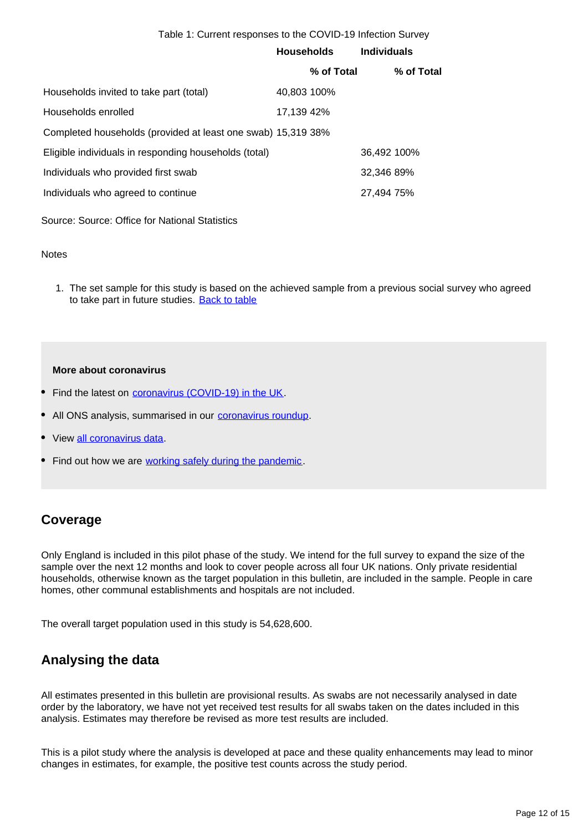#### Table 1: Current responses to the COVID-19 Infection Survey

|                                                              | <b>Households</b> |            | <b>Individuals</b> |            |
|--------------------------------------------------------------|-------------------|------------|--------------------|------------|
|                                                              |                   | % of Total |                    | % of Total |
| Households invited to take part (total)                      | 40,803 100%       |            |                    |            |
| Households enrolled                                          | 17.139 42%        |            |                    |            |
| Completed households (provided at least one swab) 15,319 38% |                   |            |                    |            |
| Eligible individuals in responding households (total)        |                   |            | 36,492 100%        |            |
| Individuals who provided first swab                          |                   |            | 32,346 89%         |            |
| Individuals who agreed to continue                           |                   |            | 27,494 75%         |            |
|                                                              |                   |            |                    |            |

Source: Source: Office for National Statistics

#### **Notes**

1. The set sample for this study is based on the achieved sample from a previous social survey who agreed to take part in future studies. [Back to table](#page-0-0)

#### **More about coronavirus**

- Find the latest on [coronavirus \(COVID-19\) in the UK](https://www.ons.gov.uk/peoplepopulationandcommunity/healthandsocialcare/conditionsanddiseases/bulletins/coronavirustheukeconomyandsocietyfasterindicators/latest).
- All ONS analysis, summarised in our **coronavirus roundup**.
- View [all coronavirus data.](https://www.ons.gov.uk/peoplepopulationandcommunity/healthandsocialcare/conditionsanddiseases/datalist)
- Find out how we are [working safely during the pandemic](https://www.ons.gov.uk/news/statementsandletters/ensuringyoursafetyduringcovid19).

### **Coverage**

Only England is included in this pilot phase of the study. We intend for the full survey to expand the size of the sample over the next 12 months and look to cover people across all four UK nations. Only private residential households, otherwise known as the target population in this bulletin, are included in the sample. People in care homes, other communal establishments and hospitals are not included.

The overall target population used in this study is 54,628,600.

### **Analysing the data**

All estimates presented in this bulletin are provisional results. As swabs are not necessarily analysed in date order by the laboratory, we have not yet received test results for all swabs taken on the dates included in this analysis. Estimates may therefore be revised as more test results are included.

This is a pilot study where the analysis is developed at pace and these quality enhancements may lead to minor changes in estimates, for example, the positive test counts across the study period.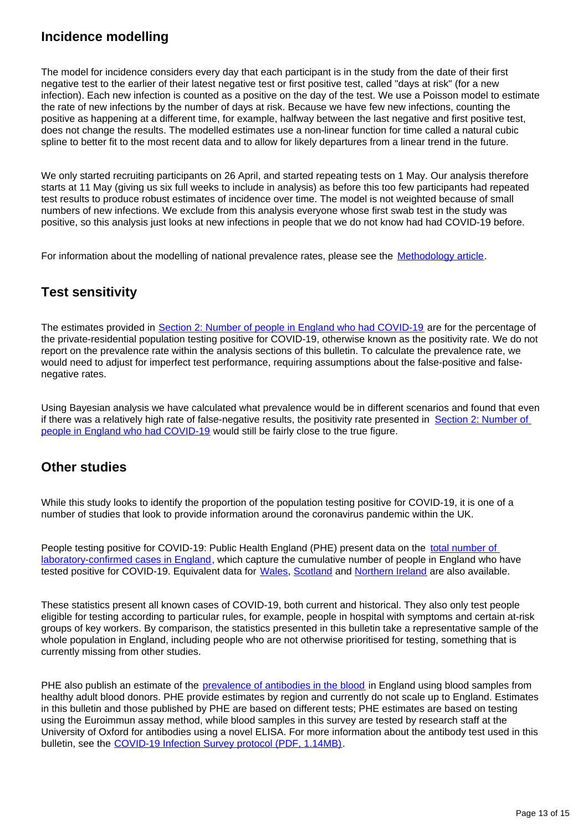### **Incidence modelling**

The model for incidence considers every day that each participant is in the study from the date of their first negative test to the earlier of their latest negative test or first positive test, called "days at risk" (for a new infection). Each new infection is counted as a positive on the day of the test. We use a Poisson model to estimate the rate of new infections by the number of days at risk. Because we have few new infections, counting the positive as happening at a different time, for example, halfway between the last negative and first positive test, does not change the results. The modelled estimates use a non-linear function for time called a natural cubic spline to better fit to the most recent data and to allow for likely departures from a linear trend in the future.

We only started recruiting participants on 26 April, and started repeating tests on 1 May. Our analysis therefore starts at 11 May (giving us six full weeks to include in analysis) as before this too few participants had repeated test results to produce robust estimates of incidence over time. The model is not weighted because of small numbers of new infections. We exclude from this analysis everyone whose first swab test in the study was positive, so this analysis just looks at new infections in people that we do not know had had COVID-19 before.

For information about the modelling of national prevalence rates, please see the [Methodology article](https://www.ons.gov.uk/peoplepopulationandcommunity/healthandsocialcare/conditionsanddiseases/methodologies/covid19infectionsurveypilotmethodsandfurtherinformation).

## **Test sensitivity**

The estimates provided in [Section 2: Number of people in England who had COVID-19](https://www.ons.gov.uk/peoplepopulationandcommunity/healthandsocialcare/conditionsanddiseases/bulletins/coronaviruscovid19infectionsurveypilot/england25june2020#number-of-people-in-england-who-had-covid-19) are for the percentage of the private-residential population testing positive for COVID-19, otherwise known as the positivity rate. We do not report on the prevalence rate within the analysis sections of this bulletin. To calculate the prevalence rate, we would need to adjust for imperfect test performance, requiring assumptions about the false-positive and falsenegative rates.

Using Bayesian analysis we have calculated what prevalence would be in different scenarios and found that even if there was a relatively high rate of false-negative results, the positivity rate presented in [Section 2: Number of](https://www.ons.gov.uk/peoplepopulationandcommunity/healthandsocialcare/conditionsanddiseases/bulletins/coronaviruscovid19infectionsurveypilot/england25june2020#number-of-people-in-england-who-had-covid-19)  [people in England who had COVID-19](https://www.ons.gov.uk/peoplepopulationandcommunity/healthandsocialcare/conditionsanddiseases/bulletins/coronaviruscovid19infectionsurveypilot/england25june2020#number-of-people-in-england-who-had-covid-19) would still be fairly close to the true figure.

### **Other studies**

While this study looks to identify the proportion of the population testing positive for COVID-19, it is one of a number of studies that look to provide information around the coronavirus pandemic within the UK.

People testing positive for COVID-19: Public Health England (PHE) present data on the total number of [laboratory-confirmed cases in England,](https://www.gov.uk/guidance/coronavirus-covid-19-information-for-the-public) which capture the cumulative number of people in England who have tested positive for COVID-19. Equivalent data for [Wales,](https://public.tableau.com/profile/public.health.wales.health.protection#!/vizhome/RapidCOVID-19virology-Public/Headlinesummary) [Scotland](https://www.gov.scot/publications/coronavirus-covid-19-daily-data-for-scotland/) and [Northern Ireland](https://app.powerbi.com/view?r=eyJrIjoiZGYxNjYzNmUtOTlmZS00ODAxLWE1YTEtMjA0NjZhMzlmN2JmIiwidCI6IjljOWEzMGRlLWQ4ZDctNGFhNC05NjAwLTRiZTc2MjVmZjZjNSIsImMiOjh9) are also available.

These statistics present all known cases of COVID-19, both current and historical. They also only test people eligible for testing according to particular rules, for example, people in hospital with symptoms and certain at-risk groups of key workers. By comparison, the statistics presented in this bulletin take a representative sample of the whole population in England, including people who are not otherwise prioritised for testing, something that is currently missing from other studies.

PHE also publish an estimate of the [prevalence of antibodies in the blood](https://www.gov.uk/government/publications/national-covid-19-surveillance-reports/sero-surveillance-of-covid-19) in England using blood samples from healthy adult blood donors. PHE provide estimates by region and currently do not scale up to England. Estimates in this bulletin and those published by PHE are based on different tests; PHE estimates are based on testing using the Euroimmun assay method, while blood samples in this survey are tested by research staff at the University of Oxford for antibodies using a novel ELISA. For more information about the antibody test used in this bulletin, see the [COVID-19 Infection Survey protocol \(PDF, 1.14MB\).](https://www.ndm.ox.ac.uk/_asset/file/protocol-covid-infection-survey-2020-04-20-v1-0-clean-with-ethics-ref.pdf)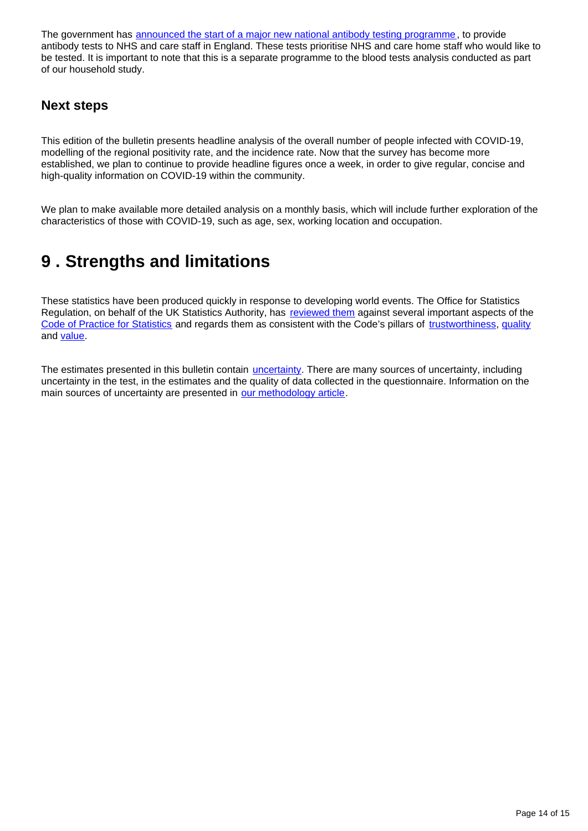The government has [announced the start of a major new national antibody testing programme,](https://www.gov.uk/government/publications/coronavirus-covid-19-antibody-tests/coronavirus-covid-19-antibody-tests) to provide antibody tests to NHS and care staff in England. These tests prioritise NHS and care home staff who would like to be tested. It is important to note that this is a separate programme to the blood tests analysis conducted as part of our household study.

### **Next steps**

This edition of the bulletin presents headline analysis of the overall number of people infected with COVID-19, modelling of the regional positivity rate, and the incidence rate. Now that the survey has become more established, we plan to continue to provide headline figures once a week, in order to give regular, concise and high-quality information on COVID-19 within the community.

We plan to make available more detailed analysis on a monthly basis, which will include further exploration of the characteristics of those with COVID-19, such as age, sex, working location and occupation.

## <span id="page-13-0"></span>**9 . Strengths and limitations**

These statistics have been produced quickly in response to developing world events. The Office for Statistics Regulation, on behalf of the UK Statistics Authority, has [reviewed them](https://www.statisticsauthority.gov.uk/correspondence/review-of-coronavirus-covid-19-infection-survey/) against several important aspects of the [Code of Practice for Statistics](https://www.statisticsauthority.gov.uk/code-of-practice/) and regards them as consistent with the Code's pillars of [trustworthiness,](https://www.statisticsauthority.gov.uk/code-of-practice/the-code/trustworthiness/) [quality](https://www.statisticsauthority.gov.uk/code-of-practice/the-code/quality/) and [value.](https://www.statisticsauthority.gov.uk/code-of-practice/the-code/value/)

The estimates presented in this bulletin contain *[uncertainty](https://www.ons.gov.uk/methodology/methodologytopicsandstatisticalconcepts/uncertaintyandhowwemeasureit)*. There are many sources of uncertainty, including uncertainty in the test, in the estimates and the quality of data collected in the questionnaire. Information on the main sources of uncertainty are presented in [our methodology article.](https://www.ons.gov.uk/peoplepopulationandcommunity/healthandsocialcare/conditionsanddiseases/methodologies/covid19infectionsurveypilotmethodsandfurtherinformation)